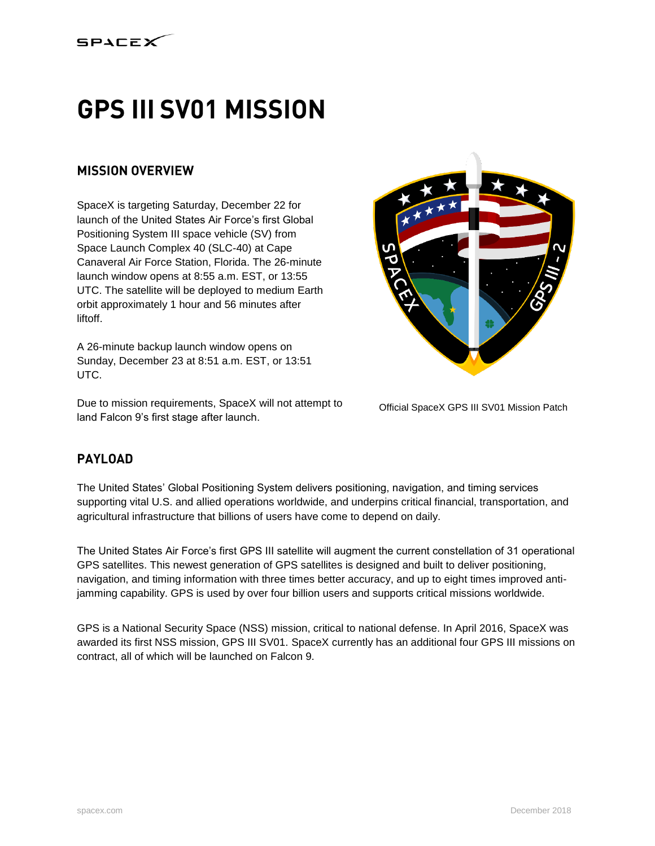

# **GPS III SV01 MISSION**

## **MISSION OVERVIEW**

SpaceX is targeting Saturday, December 22 for launch of the United States Air Force's first Global Positioning System III space vehicle (SV) from Space Launch Complex 40 (SLC-40) at Cape Canaveral Air Force Station, Florida. The 26-minute launch window opens at 8:55 a.m. EST, or 13:55 UTC. The satellite will be deployed to medium Earth orbit approximately 1 hour and 56 minutes after liftoff.

A 26-minute backup launch window opens on Sunday, December 23 at 8:51 a.m. EST, or 13:51 UTC.

Due to mission requirements, SpaceX will not attempt to land Falcon 9's first stage after launch.



Official SpaceX GPS III SV01 Mission Patch

## **PAYLOAD**

The United States' Global Positioning System delivers positioning, navigation, and timing services supporting vital U.S. and allied operations worldwide, and underpins critical financial, transportation, and agricultural infrastructure that billions of users have come to depend on daily.

The United States Air Force's first GPS III satellite will augment the current constellation of 31 operational GPS satellites. This newest generation of GPS satellites is designed and built to deliver positioning, navigation, and timing information with three times better accuracy, and up to eight times improved antijamming capability. GPS is used by over four billion users and supports critical missions worldwide.

GPS is a National Security Space (NSS) mission, critical to national defense. In April 2016, SpaceX was awarded its first NSS mission, GPS III SV01. SpaceX currently has an additional four GPS III missions on contract, all of which will be launched on Falcon 9.